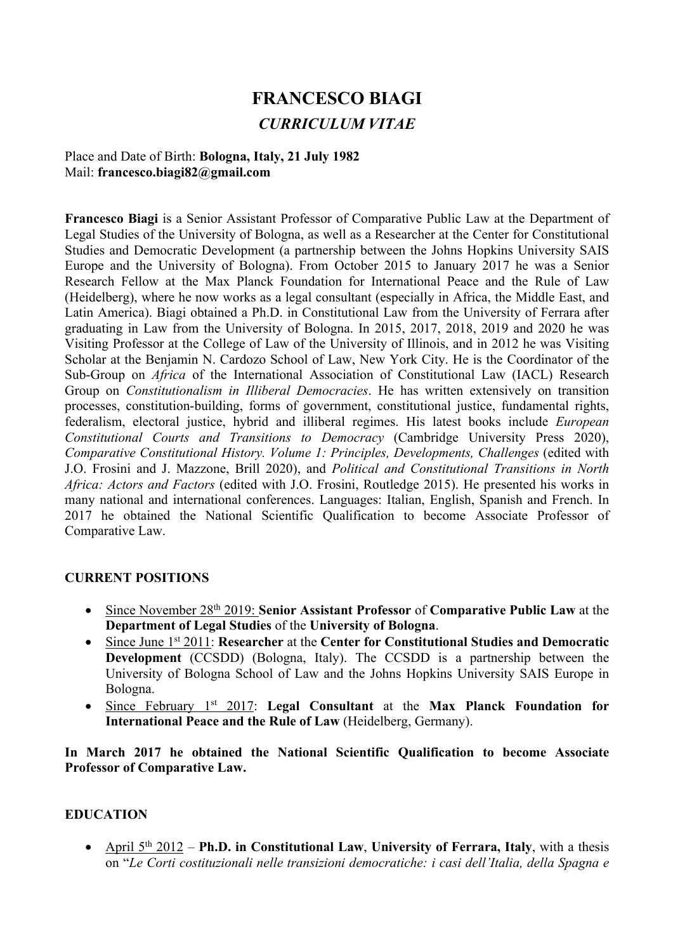# **FRANCESCO BIAGI** *CURRICULUM VITAE*

Place and Date of Birth: **Bologna, Italy, 21 July 1982** Mail: **francesco.biagi82@gmail.com**

**Francesco Biagi** is a Senior Assistant Professor of Comparative Public Law at the Department of Legal Studies of the University of Bologna, as well as a Researcher at the Center for Constitutional Studies and Democratic Development (a partnership between the Johns Hopkins University SAIS Europe and the University of Bologna). From October 2015 to January 2017 he was a Senior Research Fellow at the Max Planck Foundation for International Peace and the Rule of Law (Heidelberg), where he now works as a legal consultant (especially in Africa, the Middle East, and Latin America). Biagi obtained a Ph.D. in Constitutional Law from the University of Ferrara after graduating in Law from the University of Bologna. In 2015, 2017, 2018, 2019 and 2020 he was Visiting Professor at the College of Law of the University of Illinois, and in 2012 he was Visiting Scholar at the Benjamin N. Cardozo School of Law, New York City. He is the Coordinator of the Sub-Group on *Africa* of the International Association of Constitutional Law (IACL) Research Group on *Constitutionalism in Illiberal Democracies*. He has written extensively on transition processes, constitution-building, forms of government, constitutional justice, fundamental rights, federalism, electoral justice, hybrid and illiberal regimes. His latest books include *European Constitutional Courts and Transitions to Democracy* (Cambridge University Press 2020), *Comparative Constitutional History. Volume 1: Principles, Developments, Challenges* (edited with J.O. Frosini and J. Mazzone, Brill 2020), and *Political and Constitutional Transitions in North Africa: Actors and Factors* (edited with J.O. Frosini, Routledge 2015). He presented his works in many national and international conferences. Languages: Italian, English, Spanish and French. In 2017 he obtained the National Scientific Qualification to become Associate Professor of Comparative Law.

#### **CURRENT POSITIONS**

- Since November 28th 2019: **Senior Assistant Professor** of **Comparative Public Law** at the **Department of Legal Studies** of the **University of Bologna**.
- Since June 1st 2011: **Researcher** at the **Center for Constitutional Studies and Democratic Development** (CCSDD) (Bologna, Italy). The CCSDD is a partnership between the University of Bologna School of Law and the Johns Hopkins University SAIS Europe in Bologna.
- Since February 1st 2017: **Legal Consultant** at the **Max Planck Foundation for International Peace and the Rule of Law** (Heidelberg, Germany).

**In March 2017 he obtained the National Scientific Qualification to become Associate Professor of Comparative Law.**

#### **EDUCATION**

• April 5<sup>th</sup> 2012 – **Ph.D.** in Constitutional Law, University of Ferrara, Italy, with a thesis on "*Le Corti costituzionali nelle transizioni democratiche: i casi dell'Italia, della Spagna e*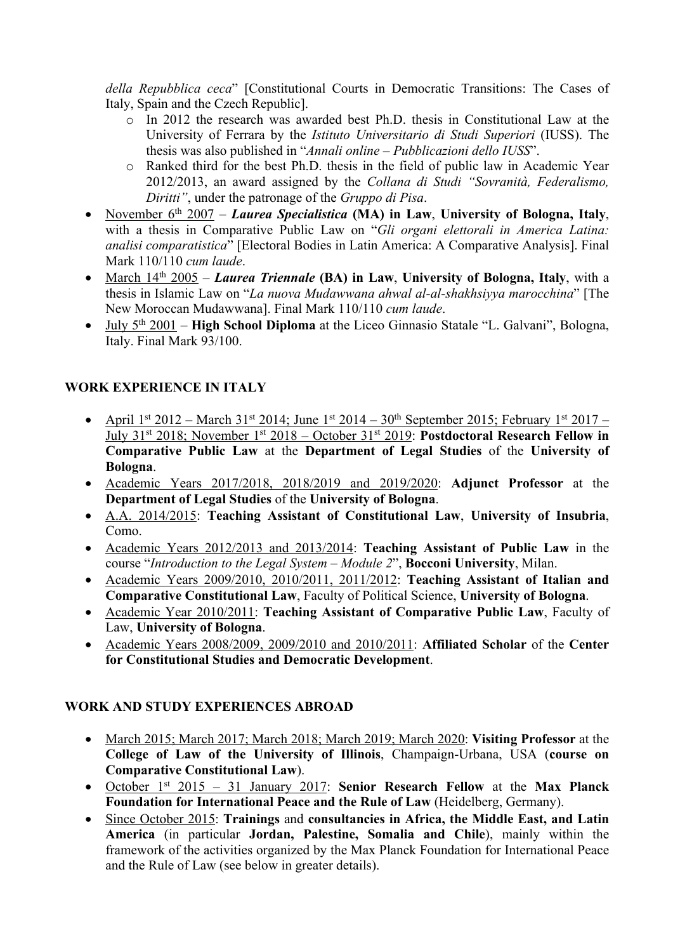*della Repubblica ceca*" [Constitutional Courts in Democratic Transitions: The Cases of Italy, Spain and the Czech Republic].

- o In 2012 the research was awarded best Ph.D. thesis in Constitutional Law at the University of Ferrara by the *Istituto Universitario di Studi Superiori* (IUSS). The thesis was also published in "*Annali online* – *Pubblicazioni dello IUSS*".
- o Ranked third for the best Ph.D. thesis in the field of public law in Academic Year 2012/2013, an award assigned by the *Collana di Studi "Sovranità, Federalismo, Diritti"*, under the patronage of the *Gruppo di Pisa*.
- November 6<sup>th</sup> 2007 *Laurea Specialistica* (MA) in Law, University of Bologna, Italy, with a thesis in Comparative Public Law on "*Gli organi elettorali in America Latina: analisi comparatistica*" [Electoral Bodies in Latin America: A Comparative Analysis]. Final Mark 110/110 *cum laude*.
- March 14<sup>th</sup> 2005 *Laurea Triennale* (BA) in Law, University of Bologna, Italy, with a thesis in Islamic Law on "*La nuova Mudawwana ahwal al-al-shakhsiyya marocchina*" [The New Moroccan Mudawwana]. Final Mark 110/110 *cum laude*.
- July 5th 2001 **High School Diploma** at the Liceo Ginnasio Statale "L. Galvani", Bologna, Italy. Final Mark 93/100.

## **WORK EXPERIENCE IN ITALY**

- April 1st 2012 March 31st 2014; June 1st 2014  $30^{th}$  September 2015; February 1st 2017 July 31st 2018; November 1st 2018 – October 31st 2019: **Postdoctoral Research Fellow in Comparative Public Law** at the **Department of Legal Studies** of the **University of Bologna**.
- Academic Years 2017/2018, 2018/2019 and 2019/2020: **Adjunct Professor** at the **Department of Legal Studies** of the **University of Bologna**.
- A.A. 2014/2015: **Teaching Assistant of Constitutional Law**, **University of Insubria**, Como.
- Academic Years 2012/2013 and 2013/2014: **Teaching Assistant of Public Law** in the course "*Introduction to the Legal System – Module 2*", **Bocconi University**, Milan.
- Academic Years 2009/2010, 2010/2011, 2011/2012: **Teaching Assistant of Italian and Comparative Constitutional Law**, Faculty of Political Science, **University of Bologna**.
- Academic Year 2010/2011: **Teaching Assistant of Comparative Public Law**, Faculty of Law, **University of Bologna**.
- Academic Years 2008/2009, 2009/2010 and 2010/2011: **Affiliated Scholar** of the **Center for Constitutional Studies and Democratic Development**.

## **WORK AND STUDY EXPERIENCES ABROAD**

- March 2015; March 2017; March 2018; March 2019; March 2020: **Visiting Professor** at the **College of Law of the University of Illinois**, Champaign-Urbana, USA (**course on Comparative Constitutional Law**).
- October 1st 2015 31 January 2017: **Senior Research Fellow** at the **Max Planck Foundation for International Peace and the Rule of Law** (Heidelberg, Germany).
- Since October 2015: **Trainings** and **consultancies in Africa, the Middle East, and Latin America** (in particular **Jordan, Palestine, Somalia and Chile**), mainly within the framework of the activities organized by the Max Planck Foundation for International Peace and the Rule of Law (see below in greater details).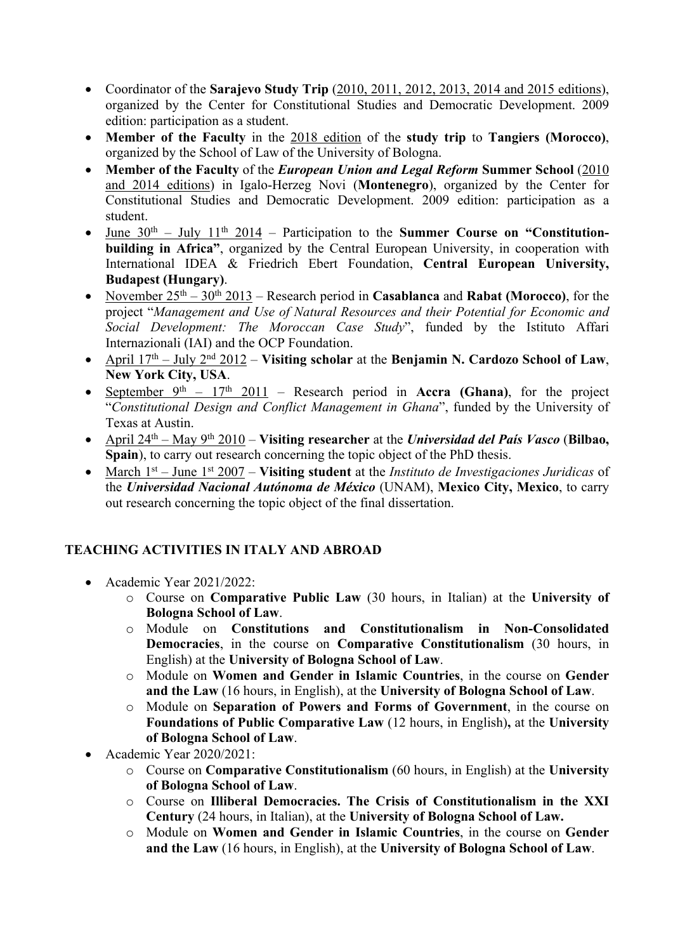- Coordinator of the **Sarajevo Study Trip** (2010, 2011, 2012, 2013, 2014 and 2015 editions), organized by the Center for Constitutional Studies and Democratic Development. 2009 edition: participation as a student.
- **Member of the Faculty** in the 2018 edition of the **study trip** to **Tangiers (Morocco)**, organized by the School of Law of the University of Bologna.
- **Member of the Faculty** of the *European Union and Legal Reform* **Summer School** (2010 and 2014 editions) in Igalo-Herzeg Novi (**Montenegro**), organized by the Center for Constitutional Studies and Democratic Development. 2009 edition: participation as a student.
- June 30<sup>th</sup> July 11<sup>th</sup> 2014 Participation to the **Summer Course on "Constitutionbuilding in Africa"**, organized by the Central European University, in cooperation with International IDEA & Friedrich Ebert Foundation, **Central European University, Budapest (Hungary)**.
- November  $25<sup>th</sup> 30<sup>th</sup> 2013$  Research period in **Casablanca** and **Rabat (Morocco)**, for the project "*Management and Use of Natural Resources and their Potential for Economic and Social Development: The Moroccan Case Study*", funded by the Istituto Affari Internazionali (IAI) and the OCP Foundation.
- April 17th July 2nd 2012 **Visiting scholar** at the **Benjamin N. Cardozo School of Law**, **New York City, USA**.
- September  $9<sup>th</sup> 17<sup>th</sup> 2011$  Research period in **Accra (Ghana)**, for the project "*Constitutional Design and Conflict Management in Ghana*", funded by the University of Texas at Austin.
- April 24th May 9th 2010 **Visiting researcher** at the *Universidad del País Vasco* (**Bilbao, Spain**), to carry out research concerning the topic object of the PhD thesis.
- March 1st June 1st 2007 **Visiting student** at the *Instituto de Investigaciones Juridicas* of the *Universidad Nacional Autónoma de México* (UNAM), **Mexico City, Mexico**, to carry out research concerning the topic object of the final dissertation.

## **TEACHING ACTIVITIES IN ITALY AND ABROAD**

- Academic Year 2021/2022:
	- o Course on **Comparative Public Law** (30 hours, in Italian) at the **University of Bologna School of Law**.
	- o Module on **Constitutions and Constitutionalism in Non-Consolidated Democracies**, in the course on **Comparative Constitutionalism** (30 hours, in English) at the **University of Bologna School of Law**.
	- o Module on **Women and Gender in Islamic Countries**, in the course on **Gender and the Law** (16 hours, in English), at the **University of Bologna School of Law**.
	- o Module on **Separation of Powers and Forms of Government**, in the course on **Foundations of Public Comparative Law** (12 hours, in English)**,** at the **University of Bologna School of Law**.
- Academic Year 2020/2021:
	- o Course on **Comparative Constitutionalism** (60 hours, in English) at the **University of Bologna School of Law**.
	- o Course on **Illiberal Democracies. The Crisis of Constitutionalism in the XXI Century** (24 hours, in Italian), at the **University of Bologna School of Law.**
	- o Module on **Women and Gender in Islamic Countries**, in the course on **Gender and the Law** (16 hours, in English), at the **University of Bologna School of Law**.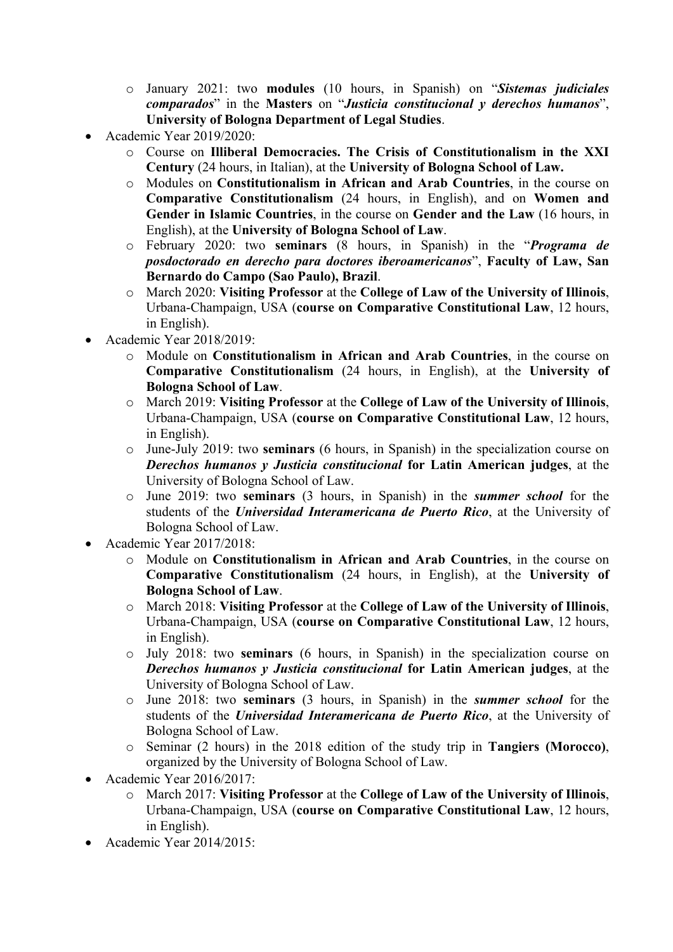- o January 2021: two **modules** (10 hours, in Spanish) on "*Sistemas judiciales comparados*" in the **Masters** on "*Justicia constitucional y derechos humanos*", **University of Bologna Department of Legal Studies**.
- Academic Year 2019/2020:
	- o Course on **Illiberal Democracies. The Crisis of Constitutionalism in the XXI Century** (24 hours, in Italian), at the **University of Bologna School of Law.**
	- o Modules on **Constitutionalism in African and Arab Countries**, in the course on **Comparative Constitutionalism** (24 hours, in English), and on **Women and Gender in Islamic Countries**, in the course on **Gender and the Law** (16 hours, in English), at the **University of Bologna School of Law**.
	- o February 2020: two **seminars** (8 hours, in Spanish) in the "*Programa de posdoctorado en derecho para doctores iberoamericanos*", **Faculty of Law, San Bernardo do Campo (Sao Paulo), Brazil**.
	- o March 2020: **Visiting Professor** at the **College of Law of the University of Illinois**, Urbana-Champaign, USA (**course on Comparative Constitutional Law**, 12 hours, in English).
- Academic Year 2018/2019:
	- o Module on **Constitutionalism in African and Arab Countries**, in the course on **Comparative Constitutionalism** (24 hours, in English), at the **University of Bologna School of Law**.
	- o March 2019: **Visiting Professor** at the **College of Law of the University of Illinois**, Urbana-Champaign, USA (**course on Comparative Constitutional Law**, 12 hours, in English).
	- o June-July 2019: two **seminars** (6 hours, in Spanish) in the specialization course on *Derechos humanos y Justicia constitucional* **for Latin American judges**, at the University of Bologna School of Law.
	- o June 2019: two **seminars** (3 hours, in Spanish) in the *summer school* for the students of the *Universidad Interamericana de Puerto Rico*, at the University of Bologna School of Law.
- Academic Year 2017/2018:
	- o Module on **Constitutionalism in African and Arab Countries**, in the course on **Comparative Constitutionalism** (24 hours, in English), at the **University of Bologna School of Law**.
	- o March 2018: **Visiting Professor** at the **College of Law of the University of Illinois**, Urbana-Champaign, USA (**course on Comparative Constitutional Law**, 12 hours, in English).
	- o July 2018: two **seminars** (6 hours, in Spanish) in the specialization course on *Derechos humanos y Justicia constitucional* **for Latin American judges**, at the University of Bologna School of Law.
	- o June 2018: two **seminars** (3 hours, in Spanish) in the *summer school* for the students of the *Universidad Interamericana de Puerto Rico*, at the University of Bologna School of Law.
	- o Seminar (2 hours) in the 2018 edition of the study trip in **Tangiers (Morocco)**, organized by the University of Bologna School of Law.
- Academic Year 2016/2017:
	- o March 2017: **Visiting Professor** at the **College of Law of the University of Illinois**, Urbana-Champaign, USA (**course on Comparative Constitutional Law**, 12 hours, in English).
- Academic Year 2014/2015: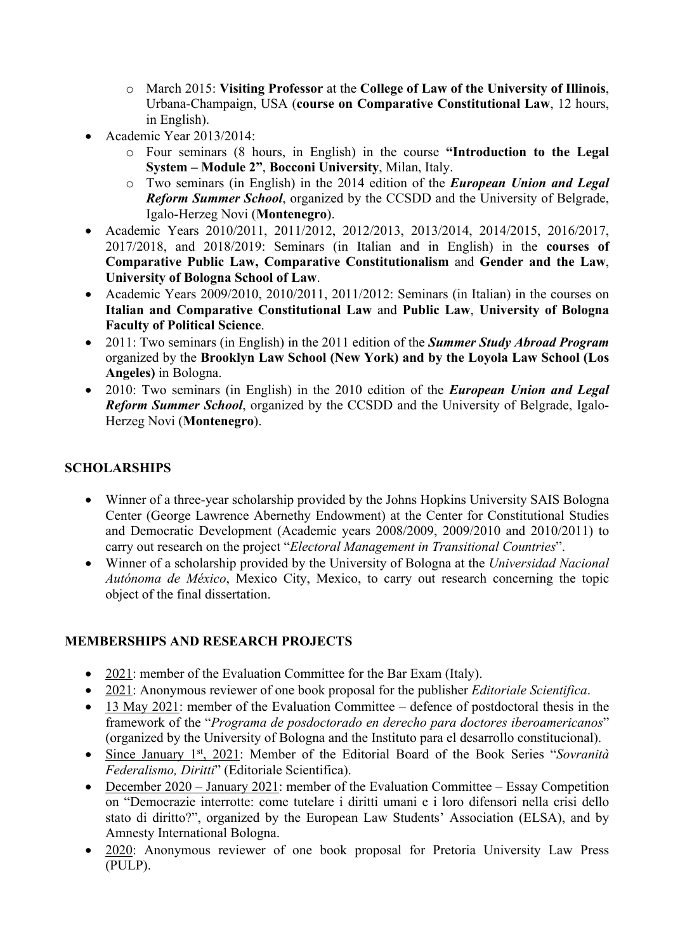- o March 2015: **Visiting Professor** at the **College of Law of the University of Illinois**, Urbana-Champaign, USA (**course on Comparative Constitutional Law**, 12 hours, in English).
- Academic Year 2013/2014:
	- o Four seminars (8 hours, in English) in the course **"Introduction to the Legal System – Module 2"**, **Bocconi University**, Milan, Italy.
	- o Two seminars (in English) in the 2014 edition of the *European Union and Legal Reform Summer School*, organized by the CCSDD and the University of Belgrade, Igalo-Herzeg Novi (**Montenegro**).
- Academic Years 2010/2011, 2011/2012, 2012/2013, 2013/2014, 2014/2015, 2016/2017, 2017/2018, and 2018/2019: Seminars (in Italian and in English) in the **courses of Comparative Public Law, Comparative Constitutionalism** and **Gender and the Law**, **University of Bologna School of Law**.
- Academic Years 2009/2010, 2010/2011, 2011/2012: Seminars (in Italian) in the courses on **Italian and Comparative Constitutional Law** and **Public Law**, **University of Bologna Faculty of Political Science**.
- 2011: Two seminars (in English) in the 2011 edition of the *Summer Study Abroad Program* organized by the **Brooklyn Law School (New York) and by the Loyola Law School (Los Angeles)** in Bologna.
- 2010: Two seminars (in English) in the 2010 edition of the *European Union and Legal Reform Summer School*, organized by the CCSDD and the University of Belgrade, Igalo-Herzeg Novi (**Montenegro**).

## **SCHOLARSHIPS**

- Winner of a three-year scholarship provided by the Johns Hopkins University SAIS Bologna Center (George Lawrence Abernethy Endowment) at the Center for Constitutional Studies and Democratic Development (Academic years 2008/2009, 2009/2010 and 2010/2011) to carry out research on the project "*Electoral Management in Transitional Countries*".
- Winner of a scholarship provided by the University of Bologna at the *Universidad Nacional Autónoma de México*, Mexico City, Mexico, to carry out research concerning the topic object of the final dissertation.

#### **MEMBERSHIPS AND RESEARCH PROJECTS**

- 2021: member of the Evaluation Committee for the Bar Exam (Italy).
- 2021: Anonymous reviewer of one book proposal for the publisher *Editoriale Scientifica*.
- 13 May 2021: member of the Evaluation Committee defence of postdoctoral thesis in the framework of the "*Programa de posdoctorado en derecho para doctores iberoamericanos*" (organized by the University of Bologna and the Instituto para el desarrollo constitucional).
- Since January 1st, 2021: Member of the Editorial Board of the Book Series "*Sovranità Federalismo, Diritti*" (Editoriale Scientifica).
- December 2020 January 2021: member of the Evaluation Committee Essay Competition on "Democrazie interrotte: come tutelare i diritti umani e i loro difensori nella crisi dello stato di diritto?", organized by the European Law Students' Association (ELSA), and by Amnesty International Bologna.
- 2020: Anonymous reviewer of one book proposal for Pretoria University Law Press (PULP).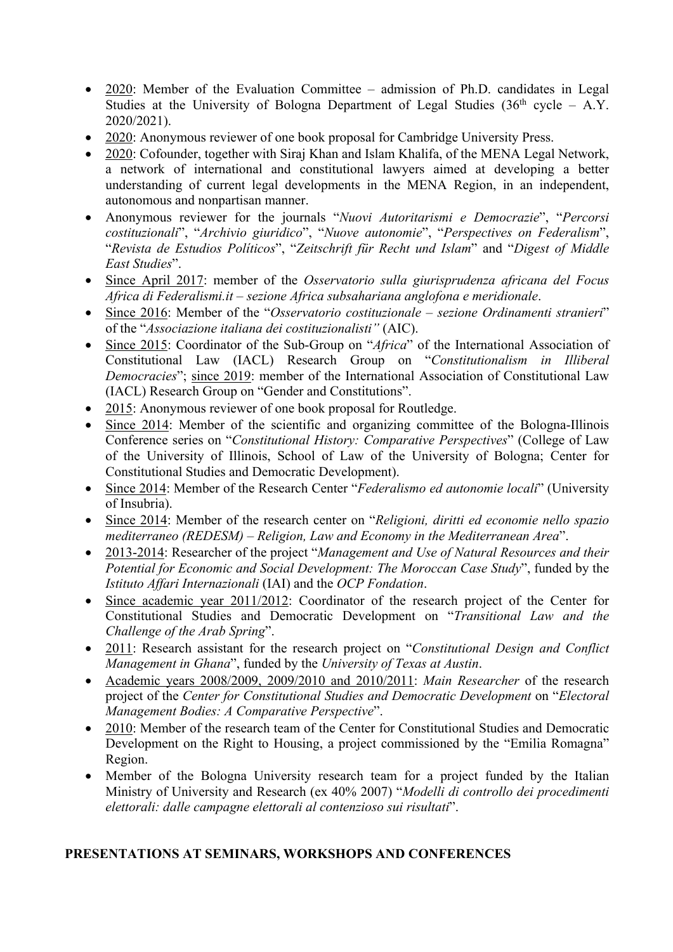- 2020: Member of the Evaluation Committee admission of Ph.D. candidates in Legal Studies at the University of Bologna Department of Legal Studies  $(36<sup>th</sup>$  cycle – A.Y. 2020/2021).
- 2020: Anonymous reviewer of one book proposal for Cambridge University Press.
- 2020: Cofounder, together with Siraj Khan and Islam Khalifa, of the MENA Legal Network, a network of international and constitutional lawyers aimed at developing a better understanding of current legal developments in the MENA Region, in an independent, autonomous and nonpartisan manner.
- Anonymous reviewer for the journals "*Nuovi Autoritarismi e Democrazie*", "*Percorsi costituzionali*", "*Archivio giuridico*", "*Nuove autonomie*", "*Perspectives on Federalism*", "*Revista de Estudios Políticos*", "*Zeitschrift für Recht und Islam*" and "*Digest of Middle East Studies*".
- Since April 2017: member of the *Osservatorio sulla giurisprudenza africana del Focus Africa di Federalismi.it – sezione Africa subsahariana anglofona e meridionale*.
- Since 2016: Member of the "*Osservatorio costituzionale – sezione Ordinamenti stranieri*" of the "*Associazione italiana dei costituzionalisti"* (AIC).
- Since 2015: Coordinator of the Sub-Group on "*Africa*" of the International Association of Constitutional Law (IACL) Research Group on "*Constitutionalism in Illiberal Democracies*"; since 2019: member of the International Association of Constitutional Law (IACL) Research Group on "Gender and Constitutions".
- 2015: Anonymous reviewer of one book proposal for Routledge.
- Since 2014: Member of the scientific and organizing committee of the Bologna-Illinois Conference series on "*Constitutional History: Comparative Perspectives*" (College of Law of the University of Illinois, School of Law of the University of Bologna; Center for Constitutional Studies and Democratic Development).
- Since 2014: Member of the Research Center "*Federalismo ed autonomie locali*" (University of Insubria).
- Since 2014: Member of the research center on "*Religioni, diritti ed economie nello spazio mediterraneo (REDESM) – Religion, Law and Economy in the Mediterranean Area*".
- 2013-2014: Researcher of the project "*Management and Use of Natural Resources and their Potential for Economic and Social Development: The Moroccan Case Study*", funded by the *Istituto Affari Internazionali* (IAI) and the *OCP Fondation*.
- Since academic year 2011/2012: Coordinator of the research project of the Center for Constitutional Studies and Democratic Development on "*Transitional Law and the Challenge of the Arab Spring*".
- 2011: Research assistant for the research project on "*Constitutional Design and Conflict Management in Ghana*", funded by the *University of Texas at Austin*.
- Academic years 2008/2009, 2009/2010 and 2010/2011: *Main Researcher* of the research project of the *Center for Constitutional Studies and Democratic Development* on "*Electoral Management Bodies: A Comparative Perspective*".
- 2010: Member of the research team of the Center for Constitutional Studies and Democratic Development on the Right to Housing, a project commissioned by the "Emilia Romagna" Region.
- Member of the Bologna University research team for a project funded by the Italian Ministry of University and Research (ex 40% 2007) "*Modelli di controllo dei procedimenti elettorali: dalle campagne elettorali al contenzioso sui risultati*".

## **PRESENTATIONS AT SEMINARS, WORKSHOPS AND CONFERENCES**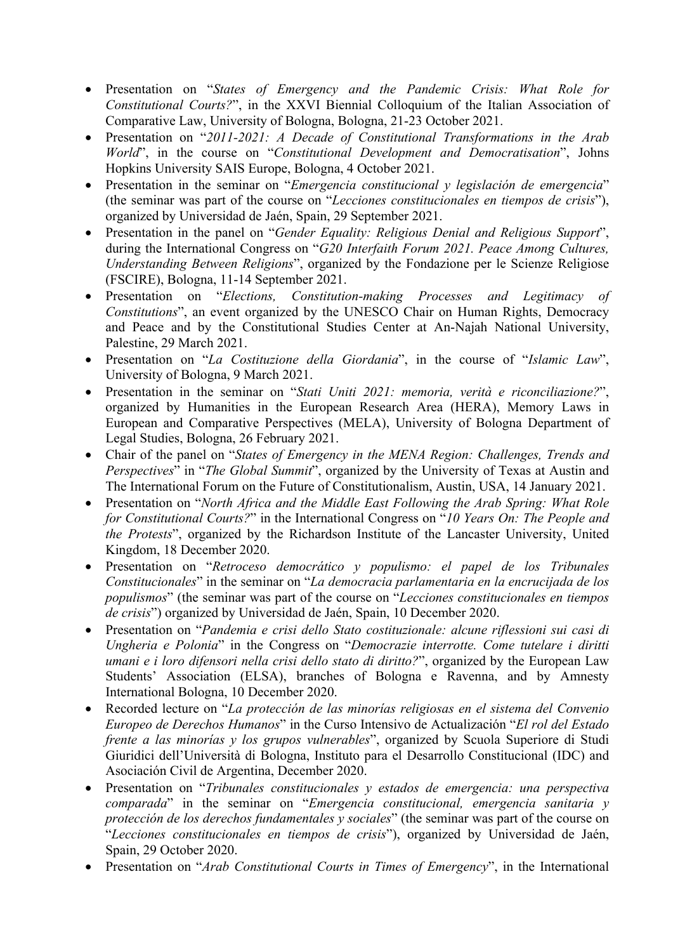- Presentation on "*States of Emergency and the Pandemic Crisis: What Role for Constitutional Courts?*", in the XXVI Biennial Colloquium of the Italian Association of Comparative Law, University of Bologna, Bologna, 21-23 October 2021.
- Presentation on "*2011-2021: A Decade of Constitutional Transformations in the Arab World*", in the course on "*Constitutional Development and Democratisation*", Johns Hopkins University SAIS Europe, Bologna, 4 October 2021.
- Presentation in the seminar on "*Emergencia constitucional y legislación de emergencia*" (the seminar was part of the course on "*Lecciones constitucionales en tiempos de crisis*"), organized by Universidad de Jaén, Spain, 29 September 2021.
- Presentation in the panel on "*Gender Equality: Religious Denial and Religious Support*", during the International Congress on "*G20 Interfaith Forum 2021. Peace Among Cultures, Understanding Between Religions*", organized by the Fondazione per le Scienze Religiose (FSCIRE), Bologna, 11-14 September 2021.
- Presentation on "*Elections, Constitution-making Processes and Legitimacy of Constitutions*", an event organized by the UNESCO Chair on Human Rights, Democracy and Peace and by the Constitutional Studies Center at An-Najah National University, Palestine, 29 March 2021.
- Presentation on "*La Costituzione della Giordania*", in the course of "*Islamic Law*", University of Bologna, 9 March 2021.
- Presentation in the seminar on "*Stati Uniti 2021: memoria, verità e riconciliazione?*", organized by Humanities in the European Research Area (HERA), Memory Laws in European and Comparative Perspectives (MELA), University of Bologna Department of Legal Studies, Bologna, 26 February 2021.
- Chair of the panel on "*States of Emergency in the MENA Region: Challenges, Trends and Perspectives*" in "*The Global Summit*", organized by the University of Texas at Austin and The International Forum on the Future of Constitutionalism, Austin, USA, 14 January 2021.
- Presentation on "*North Africa and the Middle East Following the Arab Spring: What Role for Constitutional Courts?*" in the International Congress on "*10 Years On: The People and the Protests*", organized by the Richardson Institute of the Lancaster University, United Kingdom, 18 December 2020.
- Presentation on "*Retroceso democrático y populismo: el papel de los Tribunales Constitucionales*" in the seminar on "*La democracia parlamentaria en la encrucijada de los populismos*" (the seminar was part of the course on "*Lecciones constitucionales en tiempos de crisis*") organized by Universidad de Jaén, Spain, 10 December 2020.
- Presentation on "*Pandemia e crisi dello Stato costituzionale: alcune riflessioni sui casi di Ungheria e Polonia*" in the Congress on "*Democrazie interrotte. Come tutelare i diritti umani e i loro difensori nella crisi dello stato di diritto?*", organized by the European Law Students' Association (ELSA), branches of Bologna e Ravenna, and by Amnesty International Bologna, 10 December 2020.
- Recorded lecture on "*La protección de las minorías religiosas en el sistema del Convenio Europeo de Derechos Humanos*" in the Curso Intensivo de Actualización "*El rol del Estado frente a las minorías y los grupos vulnerables*", organized by Scuola Superiore di Studi Giuridici dell'Università di Bologna, Instituto para el Desarrollo Constitucional (IDC) and Asociación Civil de Argentina, December 2020.
- Presentation on "*Tribunales constitucionales y estados de emergencia: una perspectiva comparada*" in the seminar on "*Emergencia constitucional, emergencia sanitaria y protección de los derechos fundamentales y sociales*" (the seminar was part of the course on "*Lecciones constitucionales en tiempos de crisis*"), organized by Universidad de Jaén, Spain, 29 October 2020.
- Presentation on "*Arab Constitutional Courts in Times of Emergency*", in the International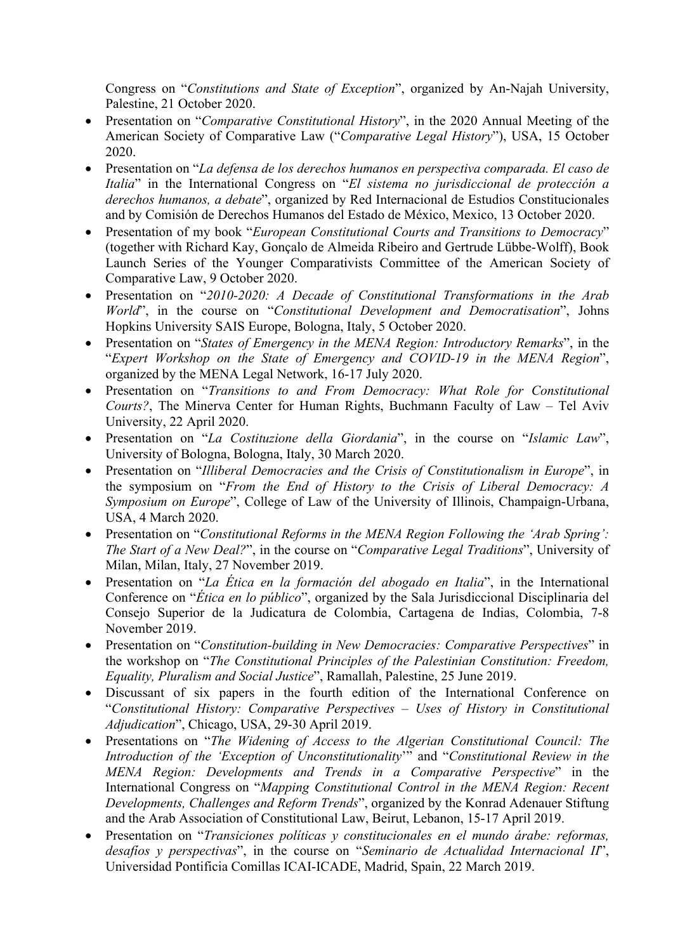Congress on "*Constitutions and State of Exception*", organized by An-Najah University, Palestine, 21 October 2020.

- Presentation on "*Comparative Constitutional History*", in the 2020 Annual Meeting of the American Society of Comparative Law ("*Comparative Legal History*"), USA, 15 October 2020.
- Presentation on "*La defensa de los derechos humanos en perspectiva comparada. El caso de Italia*" in the International Congress on "*El sistema no jurisdiccional de protección a derechos humanos, a debate*", organized by Red Internacional de Estudios Constitucionales and by Comisión de Derechos Humanos del Estado de México, Mexico, 13 October 2020.
- Presentation of my book "*European Constitutional Courts and Transitions to Democracy*" (together with Richard Kay, Gonçalo de Almeida Ribeiro and Gertrude Lübbe-Wolff), Book Launch Series of the Younger Comparativists Committee of the American Society of Comparative Law, 9 October 2020.
- Presentation on "*2010-2020: A Decade of Constitutional Transformations in the Arab World*", in the course on "*Constitutional Development and Democratisation*", Johns Hopkins University SAIS Europe, Bologna, Italy, 5 October 2020.
- Presentation on "*States of Emergency in the MENA Region: Introductory Remarks*", in the "*Expert Workshop on the State of Emergency and COVID-19 in the MENA Region*", organized by the MENA Legal Network, 16-17 July 2020.
- Presentation on "*Transitions to and From Democracy: What Role for Constitutional Courts?*, The Minerva Center for Human Rights, Buchmann Faculty of Law – Tel Aviv University, 22 April 2020.
- Presentation on "*La Costituzione della Giordania*", in the course on "*Islamic Law*", University of Bologna, Bologna, Italy, 30 March 2020.
- Presentation on "*Illiberal Democracies and the Crisis of Constitutionalism in Europe*", in the symposium on "*From the End of History to the Crisis of Liberal Democracy: A Symposium on Europe*", College of Law of the University of Illinois, Champaign-Urbana, USA, 4 March 2020.
- Presentation on "*Constitutional Reforms in the MENA Region Following the 'Arab Spring': The Start of a New Deal?*", in the course on "*Comparative Legal Traditions*", University of Milan, Milan, Italy, 27 November 2019.
- Presentation on "*La Ética en la formación del abogado en Italia*", in the International Conference on "*Ética en lo público*", organized by the Sala Jurisdiccional Disciplinaria del Consejo Superior de la Judicatura de Colombia, Cartagena de Indias, Colombia, 7-8 November 2019.
- Presentation on "*Constitution-building in New Democracies: Comparative Perspectives*" in the workshop on "*The Constitutional Principles of the Palestinian Constitution: Freedom, Equality, Pluralism and Social Justice*", Ramallah, Palestine, 25 June 2019.
- Discussant of six papers in the fourth edition of the International Conference on "*Constitutional History: Comparative Perspectives – Uses of History in Constitutional Adjudication*", Chicago, USA, 29-30 April 2019.
- Presentations on "*The Widening of Access to the Algerian Constitutional Council: The Introduction of the 'Exception of Unconstitutionality*'" and "*Constitutional Review in the MENA Region: Developments and Trends in a Comparative Perspective*" in the International Congress on "*Mapping Constitutional Control in the MENA Region: Recent Developments, Challenges and Reform Trends*", organized by the Konrad Adenauer Stiftung and the Arab Association of Constitutional Law, Beirut, Lebanon, 15-17 April 2019.
- Presentation on "*Transiciones políticas y constitucionales en el mundo árabe: reformas, desafíos y perspectivas*", in the course on "*Seminario de Actualidad Internacional II*", Universidad Pontificia Comillas ICAI-ICADE, Madrid, Spain, 22 March 2019.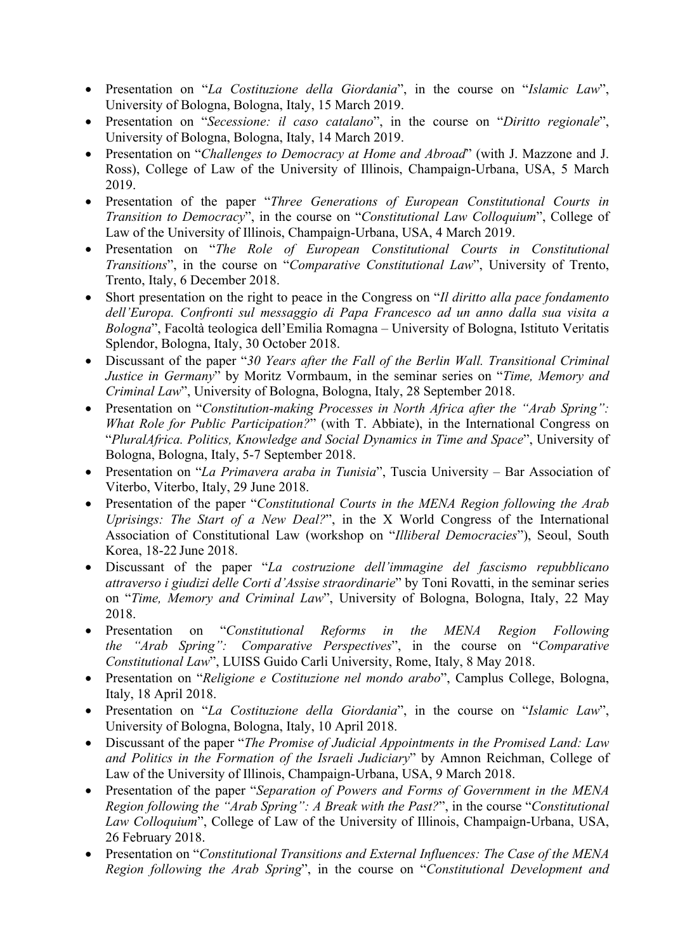- Presentation on "*La Costituzione della Giordania*", in the course on "*Islamic Law*", University of Bologna, Bologna, Italy, 15 March 2019.
- Presentation on "*Secessione: il caso catalano*", in the course on "*Diritto regionale*", University of Bologna, Bologna, Italy, 14 March 2019.
- Presentation on "*Challenges to Democracy at Home and Abroad*" (with J. Mazzone and J. Ross), College of Law of the University of Illinois, Champaign-Urbana, USA, 5 March 2019.
- Presentation of the paper "*Three Generations of European Constitutional Courts in Transition to Democracy*", in the course on "*Constitutional Law Colloquium*", College of Law of the University of Illinois, Champaign-Urbana, USA, 4 March 2019.
- Presentation on "*The Role of European Constitutional Courts in Constitutional Transitions*", in the course on "*Comparative Constitutional Law*", University of Trento, Trento, Italy, 6 December 2018.
- Short presentation on the right to peace in the Congress on "*Il diritto alla pace fondamento dell'Europa. Confronti sul messaggio di Papa Francesco ad un anno dalla sua visita a Bologna*", Facoltà teologica dell'Emilia Romagna – University of Bologna, Istituto Veritatis Splendor, Bologna, Italy, 30 October 2018.
- Discussant of the paper "*30 Years after the Fall of the Berlin Wall. Transitional Criminal Justice in Germany*" by Moritz Vormbaum, in the seminar series on "*Time, Memory and Criminal Law*", University of Bologna, Bologna, Italy, 28 September 2018.
- Presentation on "*Constitution-making Processes in North Africa after the "Arab Spring": What Role for Public Participation?*" (with T. Abbiate), in the International Congress on "*PluralAfrica. Politics, Knowledge and Social Dynamics in Time and Space*", University of Bologna, Bologna, Italy, 5-7 September 2018.
- Presentation on "*La Primavera araba in Tunisia*", Tuscia University Bar Association of Viterbo, Viterbo, Italy, 29 June 2018.
- Presentation of the paper "*Constitutional Courts in the MENA Region following the Arab Uprisings: The Start of a New Deal?*", in the X World Congress of the International Association of Constitutional Law (workshop on "*Illiberal Democracies*"), Seoul, South Korea, 18-22 June 2018.
- Discussant of the paper "*La costruzione dell'immagine del fascismo repubblicano attraverso i giudizi delle Corti d'Assise straordinarie*" by Toni Rovatti, in the seminar series on "*Time, Memory and Criminal Law*", University of Bologna, Bologna, Italy, 22 May 2018.
- Presentation on "*Constitutional Reforms in the MENA Region Following the "Arab Spring": Comparative Perspectives*", in the course on "*Comparative Constitutional Law*", LUISS Guido Carli University, Rome, Italy, 8 May 2018.
- Presentation on "*Religione e Costituzione nel mondo arabo*", Camplus College, Bologna, Italy, 18 April 2018.
- Presentation on "*La Costituzione della Giordania*", in the course on "*Islamic Law*", University of Bologna, Bologna, Italy, 10 April 2018.
- Discussant of the paper "*The Promise of Judicial Appointments in the Promised Land: Law and Politics in the Formation of the Israeli Judiciary*" by Amnon Reichman, College of Law of the University of Illinois, Champaign-Urbana, USA, 9 March 2018.
- Presentation of the paper "*Separation of Powers and Forms of Government in the MENA Region following the "Arab Spring": A Break with the Past?*", in the course "*Constitutional Law Colloquium*", College of Law of the University of Illinois, Champaign-Urbana, USA, 26 February 2018.
- Presentation on "*Constitutional Transitions and External Influences: The Case of the MENA Region following the Arab Spring*", in the course on "*Constitutional Development and*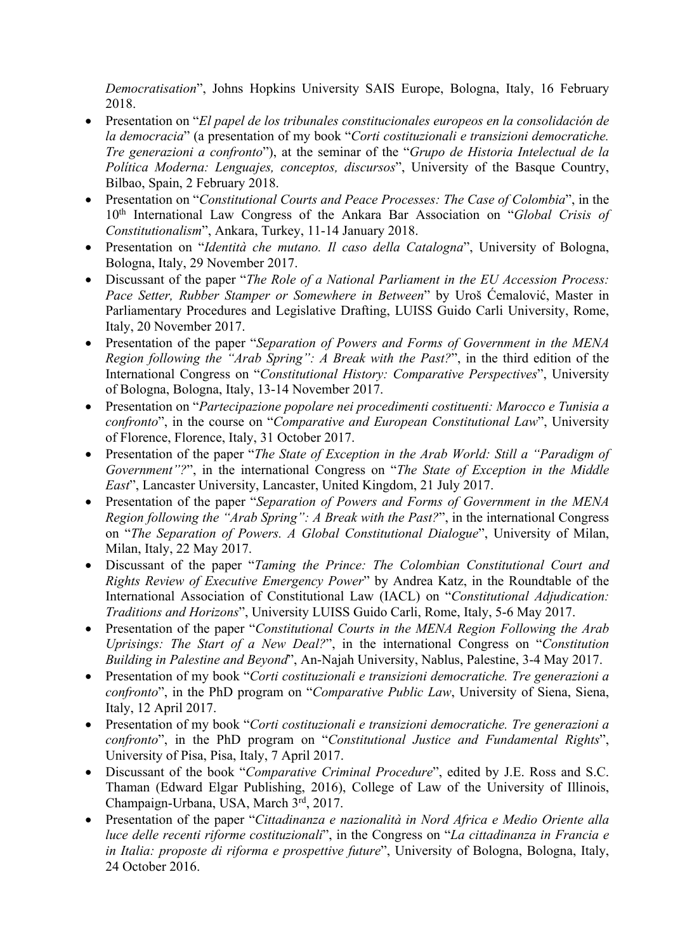*Democratisation*", Johns Hopkins University SAIS Europe, Bologna, Italy, 16 February 2018.

- Presentation on "*El papel de los tribunales constitucionales europeos en la consolidación de la democracia*" (a presentation of my book "*Corti costituzionali e transizioni democratiche. Tre generazioni a confronto*"), at the seminar of the "*Grupo de Historia Intelectual de la Política Moderna: Lenguajes, conceptos, discursos*", University of the Basque Country, Bilbao, Spain, 2 February 2018.
- Presentation on "*Constitutional Courts and Peace Processes: The Case of Colombia*", in the 10th International Law Congress of the Ankara Bar Association on "*Global Crisis of Constitutionalism*", Ankara, Turkey, 11-14 January 2018.
- Presentation on "*Identità che mutano. Il caso della Catalogna*", University of Bologna, Bologna, Italy, 29 November 2017.
- Discussant of the paper "*The Role of a National Parliament in the EU Accession Process: Pace Setter, Rubber Stamper or Somewhere in Between*" by Uroš Ćemalović, Master in Parliamentary Procedures and Legislative Drafting, LUISS Guido Carli University, Rome, Italy, 20 November 2017.
- Presentation of the paper "*Separation of Powers and Forms of Government in the MENA Region following the "Arab Spring": A Break with the Past?*", in the third edition of the International Congress on "*Constitutional History: Comparative Perspectives*", University of Bologna, Bologna, Italy, 13-14 November 2017.
- Presentation on "*Partecipazione popolare nei procedimenti costituenti: Marocco e Tunisia a confronto*", in the course on "*Comparative and European Constitutional Law*", University of Florence, Florence, Italy, 31 October 2017.
- Presentation of the paper "*The State of Exception in the Arab World: Still a "Paradigm of Government"?*", in the international Congress on "*The State of Exception in the Middle East*", Lancaster University, Lancaster, United Kingdom, 21 July 2017.
- Presentation of the paper "*Separation of Powers and Forms of Government in the MENA Region following the "Arab Spring": A Break with the Past?*", in the international Congress on "*The Separation of Powers. A Global Constitutional Dialogue*", University of Milan, Milan, Italy, 22 May 2017.
- Discussant of the paper "*Taming the Prince: The Colombian Constitutional Court and Rights Review of Executive Emergency Power*" by Andrea Katz, in the Roundtable of the International Association of Constitutional Law (IACL) on "*Constitutional Adjudication: Traditions and Horizons*", University LUISS Guido Carli, Rome, Italy, 5-6 May 2017.
- Presentation of the paper "*Constitutional Courts in the MENA Region Following the Arab Uprisings: The Start of a New Deal?*", in the international Congress on "*Constitution Building in Palestine and Beyond*", An-Najah University, Nablus, Palestine, 3-4 May 2017.
- Presentation of my book "*Corti costituzionali e transizioni democratiche. Tre generazioni a confronto*", in the PhD program on "*Comparative Public Law*, University of Siena, Siena, Italy, 12 April 2017.
- Presentation of my book "*Corti costituzionali e transizioni democratiche. Tre generazioni a confronto*", in the PhD program on "*Constitutional Justice and Fundamental Rights*", University of Pisa, Pisa, Italy, 7 April 2017.
- Discussant of the book "*Comparative Criminal Procedure*", edited by J.E. Ross and S.C. Thaman (Edward Elgar Publishing, 2016), College of Law of the University of Illinois, Champaign-Urbana, USA, March 3rd, 2017.
- Presentation of the paper "*Cittadinanza e nazionalità in Nord Africa e Medio Oriente alla luce delle recenti riforme costituzionali*", in the Congress on "*La cittadinanza in Francia e in Italia: proposte di riforma e prospettive future*", University of Bologna, Bologna, Italy, 24 October 2016.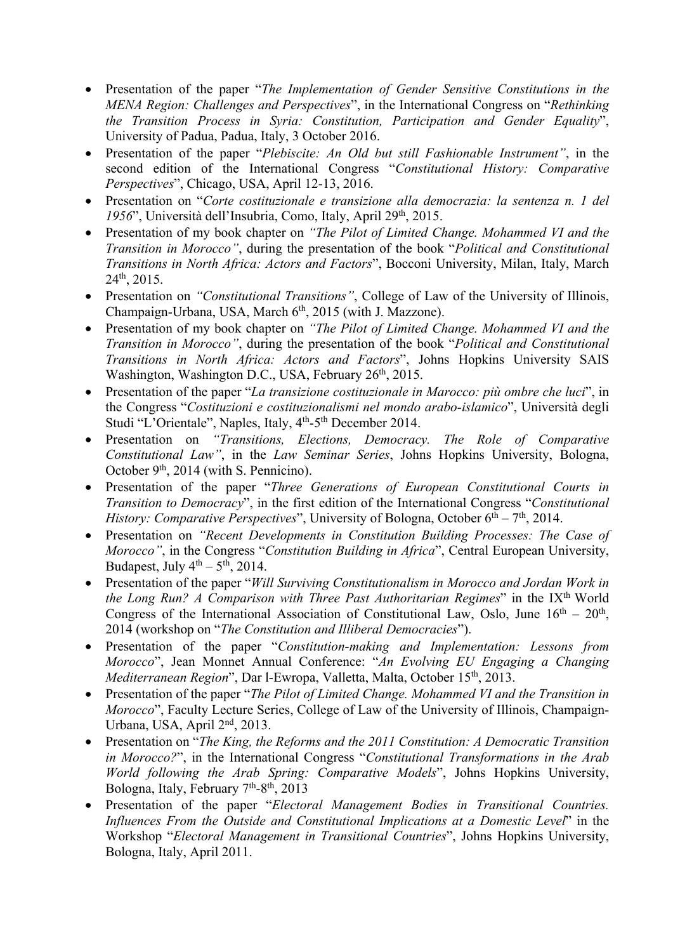- Presentation of the paper "*The Implementation of Gender Sensitive Constitutions in the MENA Region: Challenges and Perspectives*", in the International Congress on "*Rethinking the Transition Process in Syria: Constitution, Participation and Gender Equality*", University of Padua, Padua, Italy, 3 October 2016.
- Presentation of the paper "*Plebiscite: An Old but still Fashionable Instrument"*, in the second edition of the International Congress "*Constitutional History: Comparative Perspectives*", Chicago, USA, April 12-13, 2016.
- Presentation on "*Corte costituzionale e transizione alla democrazia: la sentenza n. 1 del*  1956", Università dell'Insubria, Como, Italy, April 29<sup>th</sup>, 2015.
- Presentation of my book chapter on *"The Pilot of Limited Change. Mohammed VI and the Transition in Morocco"*, during the presentation of the book "*Political and Constitutional Transitions in North Africa: Actors and Factors*", Bocconi University, Milan, Italy, March 24th, 2015.
- Presentation on *"Constitutional Transitions"*, College of Law of the University of Illinois, Champaign-Urbana, USA, March 6<sup>th</sup>, 2015 (with J. Mazzone).
- Presentation of my book chapter on *"The Pilot of Limited Change. Mohammed VI and the Transition in Morocco"*, during the presentation of the book "*Political and Constitutional Transitions in North Africa: Actors and Factors*", Johns Hopkins University SAIS Washington, Washington D.C., USA, February 26<sup>th</sup>, 2015.
- Presentation of the paper "*La transizione costituzionale in Marocco: più ombre che luci*", in the Congress "*Costituzioni e costituzionalismi nel mondo arabo-islamico*", Università degli Studi "L'Orientale", Naples, Italy, 4<sup>th</sup>-5<sup>th</sup> December 2014.
- Presentation on *"Transitions, Elections, Democracy. The Role of Comparative Constitutional Law"*, in the *Law Seminar Series*, Johns Hopkins University, Bologna, October  $9<sup>th</sup>$ , 2014 (with S. Pennicino).
- Presentation of the paper "*Three Generations of European Constitutional Courts in Transition to Democracy*", in the first edition of the International Congress "*Constitutional History: Comparative Perspectives*", University of Bologna, October 6<sup>th</sup> – 7<sup>th</sup>, 2014.
- Presentation on *"Recent Developments in Constitution Building Processes: The Case of Morocco"*, in the Congress "*Constitution Building in Africa*", Central European University, Budapest, July  $4<sup>th</sup> - 5<sup>th</sup>$ , 2014.
- Presentation of the paper "*Will Surviving Constitutionalism in Morocco and Jordan Work in the Long Run? A Comparison with Three Past Authoritarian Regimes*" in the IX<sup>th</sup> World Congress of the International Association of Constitutional Law, Oslo, June  $16<sup>th</sup> - 20<sup>th</sup>$ , 2014 (workshop on "*The Constitution and Illiberal Democracies*").
- Presentation of the paper "*Constitution-making and Implementation: Lessons from Morocco*", Jean Monnet Annual Conference: "*An Evolving EU Engaging a Changing Mediterranean Region*", Dar l-Ewropa, Valletta, Malta, October 15th, 2013.
- Presentation of the paper "*The Pilot of Limited Change. Mohammed VI and the Transition in Morocco*", Faculty Lecture Series, College of Law of the University of Illinois, Champaign-Urbana, USA, April 2nd, 2013.
- Presentation on "*The King, the Reforms and the 2011 Constitution: A Democratic Transition in Morocco?*", in the International Congress "*Constitutional Transformations in the Arab World following the Arab Spring: Comparative Models*", Johns Hopkins University, Bologna, Italy, February  $7<sup>th</sup>-8<sup>th</sup>$ , 2013
- Presentation of the paper "*Electoral Management Bodies in Transitional Countries. Influences From the Outside and Constitutional Implications at a Domestic Level*" in the Workshop "*Electoral Management in Transitional Countries*", Johns Hopkins University, Bologna, Italy, April 2011.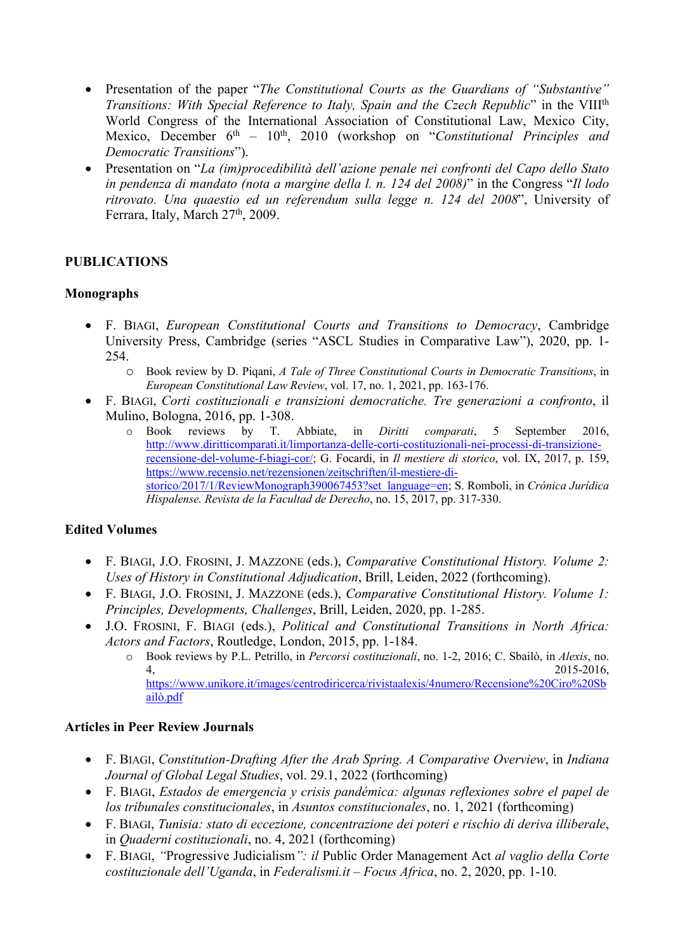- Presentation of the paper "*The Constitutional Courts as the Guardians of "Substantive" Transitions: With Special Reference to Italy, Spain and the Czech Republic*" in the VIII<sup>th</sup> World Congress of the International Association of Constitutional Law, Mexico City, Mexico, December 6<sup>th</sup> – 10<sup>th</sup>, 2010 (workshop on "*Constitutional Principles and Democratic Transitions*").
- Presentation on "*La (im)procedibilità dell'azione penale nei confronti del Capo dello Stato in pendenza di mandato (nota a margine della l. n. 124 del 2008)*" in the Congress "*Il lodo ritrovato. Una quaestio ed un referendum sulla legge n. 124 del 2008*", University of Ferrara, Italy, March 27<sup>th</sup>, 2009.

## **PUBLICATIONS**

#### **Monographs**

- F. BIAGI, *European Constitutional Courts and Transitions to Democracy*, Cambridge University Press, Cambridge (series "ASCL Studies in Comparative Law"), 2020, pp. 1- 254.
	- o Book review by D. Piqani, *A Tale of Three Constitutional Courts in Democratic Transitions*, in *European Constitutional Law Review*, vol. 17, no. 1, 2021, pp. 163-176.
- F. BIAGI, *Corti costituzionali e transizioni democratiche. Tre generazioni a confronto*, il Mulino, Bologna, 2016, pp. 1-308.
	- o Book reviews by T. Abbiate, in *Diritti comparati*, 5 September 2016, http://www.diritticomparati.it/limportanza-delle-corti-costituzionali-nei-processi-di-transizionerecensione-del-volume-f-biagi-cor/; G. Focardi, in *Il mestiere di storico*, vol. IX, 2017, p. 159, https://www.recensio.net/rezensionen/zeitschriften/il-mestiere-distorico/2017/1/ReviewMonograph390067453?set\_language=en; S. Romboli, in *Crónica Jurídica Hispalense. Revista de la Facultad de Derecho*, no. 15, 2017, pp. 317-330.

#### **Edited Volumes**

- F. BIAGI, J.O. FROSINI, J. MAZZONE (eds.), *Comparative Constitutional History. Volume 2: Uses of History in Constitutional Adjudication*, Brill, Leiden, 2022 (forthcoming).
- F. BIAGI, J.O. FROSINI, J. MAZZONE (eds.), *Comparative Constitutional History. Volume 1: Principles, Developments, Challenges*, Brill, Leiden, 2020, pp. 1-285.
- J.O. FROSINI, F. BIAGI (eds.), *Political and Constitutional Transitions in North Africa: Actors and Factors*, Routledge, London, 2015, pp. 1-184.
	- o Book reviews by P.L. Petrillo, in *Percorsi costituzionali*, no. 1-2, 2016; C. Sbailò, in *Alexis*, no. 4, 2015-2016, https://www.unikore.it/images/centrodiricerca/rivistaalexis/4numero/Recensione%20Ciro%20Sb ailò.pdf

#### **Articles in Peer Review Journals**

- F. BIAGI, *Constitution-Drafting After the Arab Spring. A Comparative Overview*, in *Indiana Journal of Global Legal Studies*, vol. 29.1, 2022 (forthcoming)
- F. BIAGI, *Estados de emergencia y crisis pandémica: algunas reflexiones sobre el papel de los tribunales constitucionales*, in *Asuntos constitucionales*, no. 1, 2021 (forthcoming)
- F. BIAGI, *Tunisia: stato di eccezione, concentrazione dei poteri e rischio di deriva illiberale*, in *Quaderni costituzionali*, no. 4, 2021 (forthcoming)
- F. BIAGI, *"*Progressive Judicialism*": il* Public Order Management Act *al vaglio della Corte costituzionale dell'Uganda*, in *Federalismi.it – Focus Africa*, no. 2, 2020, pp. 1-10.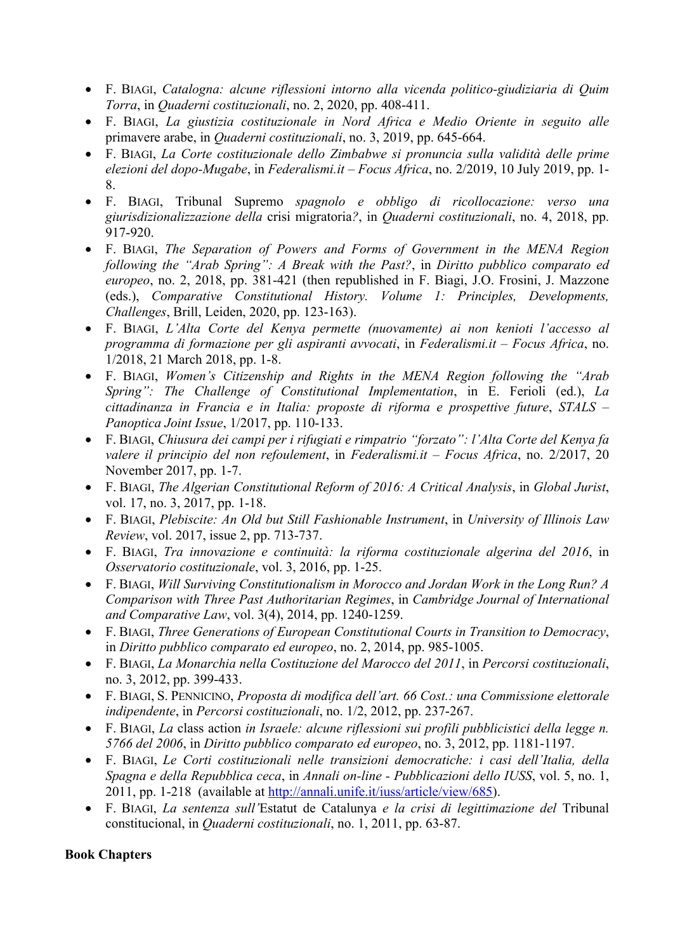- F. BIAGI, *Catalogna: alcune riflessioni intorno alla vicenda politico-giudiziaria di Quim Torra*, in *Quaderni costituzionali*, no. 2, 2020, pp. 408-411.
- F. BIAGI, *La giustizia costituzionale in Nord Africa e Medio Oriente in seguito alle*  primavere arabe, in *Quaderni costituzionali*, no. 3, 2019, pp. 645-664.
- F. BIAGI, *La Corte costituzionale dello Zimbabwe si pronuncia sulla validità delle prime elezioni del dopo-Mugabe*, in *Federalismi.it – Focus Africa*, no. 2/2019, 10 July 2019, pp. 1- 8.
- F. BIAGI, Tribunal Supremo *spagnolo e obbligo di ricollocazione: verso una giurisdizionalizzazione della* crisi migratoria*?*, in *Quaderni costituzionali*, no. 4, 2018, pp. 917-920.
- F. BIAGI, *The Separation of Powers and Forms of Government in the MENA Region following the "Arab Spring": A Break with the Past?*, in *Diritto pubblico comparato ed europeo*, no. 2, 2018, pp. 381-421 (then republished in F. Biagi, J.O. Frosini, J. Mazzone (eds.), *Comparative Constitutional History. Volume 1: Principles, Developments, Challenges*, Brill, Leiden, 2020, pp. 123-163).
- F. BIAGI, *L'Alta Corte del Kenya permette (nuovamente) ai non kenioti l'accesso al programma di formazione per gli aspiranti avvocati*, in *Federalismi.it – Focus Africa*, no. 1/2018, 21 March 2018, pp. 1-8.
- F. BIAGI, *Women's Citizenship and Rights in the MENA Region following the "Arab Spring": The Challenge of Constitutional Implementation*, in E. Ferioli (ed.), *La cittadinanza in Francia e in Italia: proposte di riforma e prospettive future*, *STALS – Panoptica Joint Issue*, 1/2017, pp. 110-133.
- F. BIAGI, *Chiusura dei campi per i rifugiati e rimpatrio "forzato": l'Alta Corte del Kenya fa valere il principio del non refoulement*, in *Federalismi.it – Focus Africa*, no. 2/2017, 20 November 2017, pp. 1-7.
- F. BIAGI, *The Algerian Constitutional Reform of 2016: A Critical Analysis*, in *Global Jurist*, vol. 17, no. 3, 2017, pp. 1-18.
- F. BIAGI, *Plebiscite: An Old but Still Fashionable Instrument*, in *University of Illinois Law Review*, vol. 2017, issue 2, pp. 713-737.
- F. BIAGI, *Tra innovazione e continuità: la riforma costituzionale algerina del 2016*, in *Osservatorio costituzionale*, vol. 3, 2016, pp. 1-25.
- F. BIAGI, *Will Surviving Constitutionalism in Morocco and Jordan Work in the Long Run? A Comparison with Three Past Authoritarian Regimes*, in *Cambridge Journal of International and Comparative Law*, vol. 3(4), 2014, pp. 1240-1259.
- F. BIAGI, *Three Generations of European Constitutional Courts in Transition to Democracy*, in *Diritto pubblico comparato ed europeo*, no. 2, 2014, pp. 985-1005.
- F. BIAGI, *La Monarchia nella Costituzione del Marocco del 2011*, in *Percorsi costituzionali*, no. 3, 2012, pp. 399-433.
- F. BIAGI, S. PENNICINO, *Proposta di modifica dell'art. 66 Cost.: una Commissione elettorale indipendente*, in *Percorsi costituzionali*, no. 1/2, 2012, pp. 237-267.
- F. BIAGI, *La* class action *in Israele: alcune riflessioni sui profili pubblicistici della legge n. 5766 del 2006*, in *Diritto pubblico comparato ed europeo*, no. 3, 2012, pp. 1181-1197.
- F. BIAGI, *Le Corti costituzionali nelle transizioni democratiche: i casi dell'Italia, della Spagna e della Repubblica ceca*, in *Annali on-line - Pubblicazioni dello IUSS*, vol. 5, no. 1, 2011, pp. 1-218 (available at http://annali.unife.it/iuss/article/view/685).
- F. BIAGI, *La sentenza sull'*Estatut de Catalunya *e la crisi di legittimazione del* Tribunal constitucional, in *Quaderni costituzionali*, no. 1, 2011, pp. 63-87.

## **Book Chapters**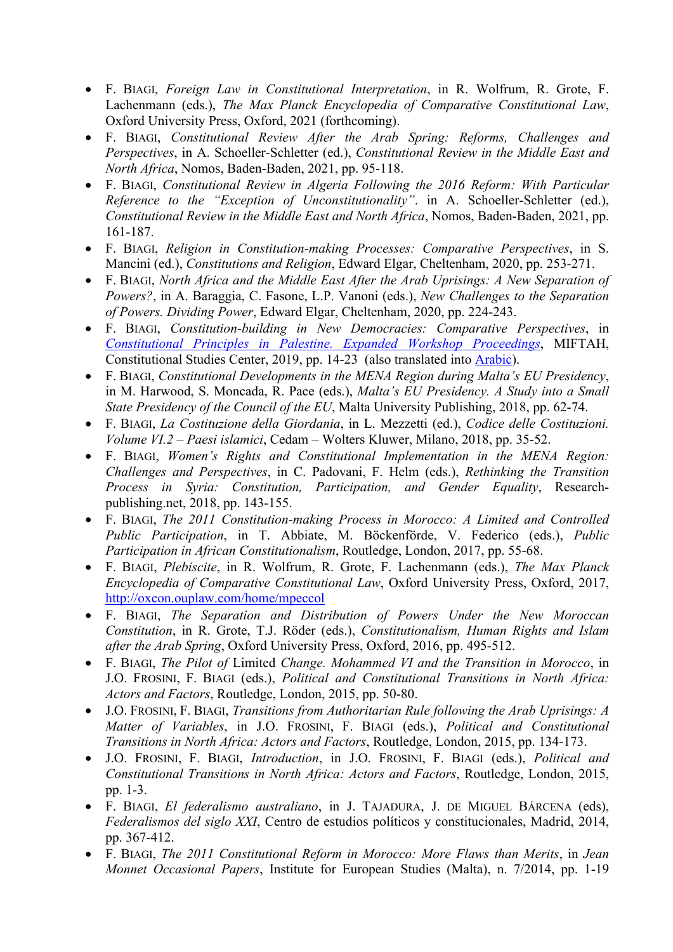- F. BIAGI, *Foreign Law in Constitutional Interpretation*, in R. Wolfrum, R. Grote, F. Lachenmann (eds.), *The Max Planck Encyclopedia of Comparative Constitutional Law*, Oxford University Press, Oxford, 2021 (forthcoming).
- F. BIAGI, *Constitutional Review After the Arab Spring: Reforms, Challenges and Perspectives*, in A. Schoeller-Schletter (ed.), *Constitutional Review in the Middle East and North Africa*, Nomos, Baden-Baden, 2021, pp. 95-118.
- F. BIAGI, *Constitutional Review in Algeria Following the 2016 Reform: With Particular Reference to the "Exception of Unconstitutionality"*. in A. Schoeller-Schletter (ed.), *Constitutional Review in the Middle East and North Africa*, Nomos, Baden-Baden, 2021, pp. 161-187.
- F. BIAGI, *Religion in Constitution-making Processes: Comparative Perspectives*, in S. Mancini (ed.), *Constitutions and Religion*, Edward Elgar, Cheltenham, 2020, pp. 253-271.
- F. BIAGI, *North Africa and the Middle East After the Arab Uprisings: A New Separation of Powers?*, in A. Baraggia, C. Fasone, L.P. Vanoni (eds.), *New Challenges to the Separation of Powers. Dividing Power*, Edward Elgar, Cheltenham, 2020, pp. 224-243.
- F. BIAGI, *Constitution-building in New Democracies: Comparative Perspectives*, in *Constitutional Principles in Palestine. Expanded Workshop Proceedings*, MIFTAH, Constitutional Studies Center, 2019, pp. 14-23 (also translated into Arabic).
- F. BIAGI, *Constitutional Developments in the MENA Region during Malta's EU Presidency*, in M. Harwood, S. Moncada, R. Pace (eds.), *Malta's EU Presidency. A Study into a Small State Presidency of the Council of the EU*, Malta University Publishing, 2018, pp. 62-74.
- F. BIAGI, *La Costituzione della Giordania*, in L. Mezzetti (ed.), *Codice delle Costituzioni. Volume VI.2 – Paesi islamici*, Cedam – Wolters Kluwer, Milano, 2018, pp. 35-52.
- F. BIAGI, *Women's Rights and Constitutional Implementation in the MENA Region: Challenges and Perspectives*, in C. Padovani, F. Helm (eds.), *Rethinking the Transition Process in Syria: Constitution, Participation, and Gender Equality*, Researchpublishing.net, 2018, pp. 143-155.
- F. BIAGI, *The 2011 Constitution-making Process in Morocco: A Limited and Controlled Public Participation*, in T. Abbiate, M. Böckenförde, V. Federico (eds.), *Public Participation in African Constitutionalism*, Routledge, London, 2017, pp. 55-68.
- F. BIAGI, *Plebiscite*, in R. Wolfrum, R. Grote, F. Lachenmann (eds.), *The Max Planck Encyclopedia of Comparative Constitutional Law*, Oxford University Press, Oxford, 2017, http://oxcon.ouplaw.com/home/mpeccol
- F. BIAGI, *The Separation and Distribution of Powers Under the New Moroccan Constitution*, in R. Grote, T.J. Röder (eds.), *Constitutionalism, Human Rights and Islam after the Arab Spring*, Oxford University Press, Oxford, 2016, pp. 495-512.
- F. BIAGI, *The Pilot of* Limited *Change. Mohammed VI and the Transition in Morocco*, in J.O. FROSINI, F. BIAGI (eds.), *Political and Constitutional Transitions in North Africa: Actors and Factors*, Routledge, London, 2015, pp. 50-80.
- J.O. FROSINI, F. BIAGI, *Transitions from Authoritarian Rule following the Arab Uprisings: A Matter of Variables*, in J.O. FROSINI, F. BIAGI (eds.), *Political and Constitutional Transitions in North Africa: Actors and Factors*, Routledge, London, 2015, pp. 134-173.
- J.O. FROSINI, F. BIAGI, *Introduction*, in J.O. FROSINI, F. BIAGI (eds.), *Political and Constitutional Transitions in North Africa: Actors and Factors*, Routledge, London, 2015, pp. 1-3.
- F. BIAGI, *El federalismo australiano*, in J. TAJADURA, J. DE MIGUEL BÁRCENA (eds), *Federalismos del siglo XXI*, Centro de estudios políticos y constitucionales, Madrid, 2014, pp. 367-412.
- F. BIAGI, *The 2011 Constitutional Reform in Morocco: More Flaws than Merits*, in *Jean Monnet Occasional Papers*, Institute for European Studies (Malta), n. 7/2014, pp. 1-19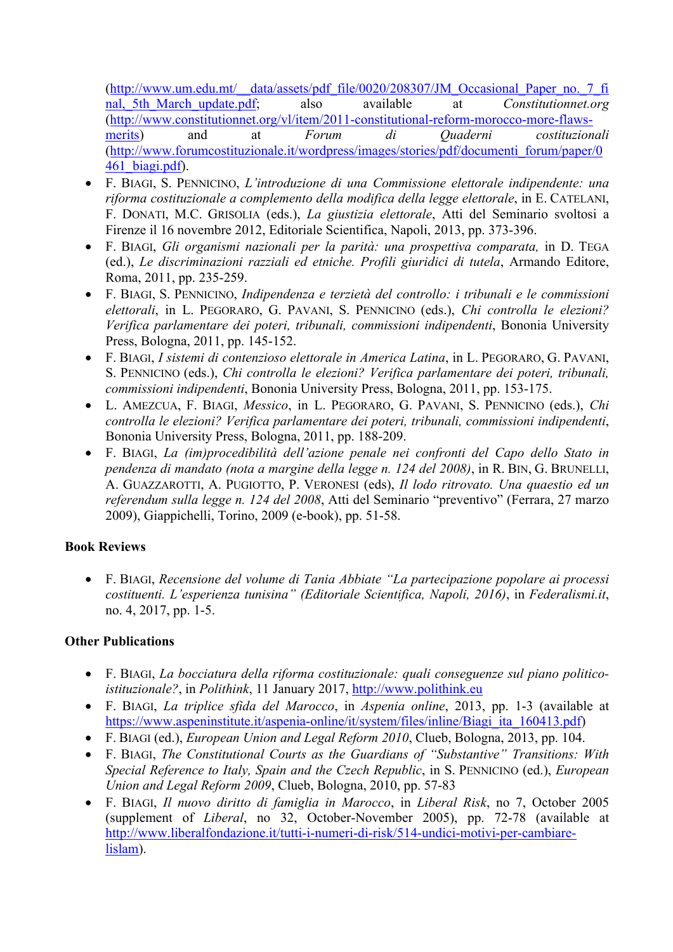(http://www.um.edu.mt/\_\_data/assets/pdf\_file/0020/208307/JM\_Occasional\_Paper\_no.\_7\_fi nal, 5th March update.pdf; also available at *Constitutionnet.org* (http://www.constitutionnet.org/vl/item/2011-constitutional-reform-morocco-more-flawsmerits) and at *Forum di Quaderni costituzionali* (http://www.forumcostituzionale.it/wordpress/images/stories/pdf/documenti\_forum/paper/0 461\_biagi.pdf).

- F. BIAGI, S. PENNICINO, *L'introduzione di una Commissione elettorale indipendente: una riforma costituzionale a complemento della modifica della legge elettorale*, in E. CATELANI, F. DONATI, M.C. GRISOLIA (eds.), *La giustizia elettorale*, Atti del Seminario svoltosi a Firenze il 16 novembre 2012, Editoriale Scientifica, Napoli, 2013, pp. 373-396.
- F. BIAGI, *Gli organismi nazionali per la parità: una prospettiva comparata,* in D. TEGA (ed.), *Le discriminazioni razziali ed etniche. Profili giuridici di tutela*, Armando Editore, Roma, 2011, pp. 235-259.
- F. BIAGI, S. PENNICINO, *Indipendenza e terzietà del controllo: i tribunali e le commissioni elettorali*, in L. PEGORARO, G. PAVANI, S. PENNICINO (eds.), *Chi controlla le elezioni? Verifica parlamentare dei poteri, tribunali, commissioni indipendenti*, Bononia University Press, Bologna, 2011, pp. 145-152.
- F. BIAGI, *I sistemi di contenzioso elettorale in America Latina*, in L. PEGORARO, G. PAVANI, S. PENNICINO (eds.), *Chi controlla le elezioni? Verifica parlamentare dei poteri, tribunali, commissioni indipendenti*, Bononia University Press, Bologna, 2011, pp. 153-175.
- L. AMEZCUA, F. BIAGI, *Messico*, in L. PEGORARO, G. PAVANI, S. PENNICINO (eds.), *Chi controlla le elezioni? Verifica parlamentare dei poteri, tribunali, commissioni indipendenti*, Bononia University Press, Bologna, 2011, pp. 188-209.
- F. BIAGI, *La (im)procedibilità dell'azione penale nei confronti del Capo dello Stato in pendenza di mandato (nota a margine della legge n. 124 del 2008)*, in R. BIN, G. BRUNELLI, A. GUAZZAROTTI, A. PUGIOTTO, P. VERONESI (eds), *Il lodo ritrovato. Una quaestio ed un referendum sulla legge n. 124 del 2008*, Atti del Seminario "preventivo" (Ferrara, 27 marzo 2009), Giappichelli, Torino, 2009 (e-book), pp. 51-58.

## **Book Reviews**

• F. BIAGI, *Recensione del volume di Tania Abbiate "La partecipazione popolare ai processi costituenti. L'esperienza tunisina" (Editoriale Scientifica, Napoli, 2016)*, in *Federalismi.it*, no. 4, 2017, pp. 1-5.

## **Other Publications**

- F. BIAGI, *La bocciatura della riforma costituzionale: quali conseguenze sul piano politicoistituzionale?*, in *Polithink*, 11 January 2017, http://www.polithink.eu
- F. BIAGI, *La triplice sfida del Marocco*, in *Aspenia online*, 2013, pp. 1-3 (available at https://www.aspeninstitute.it/aspenia-online/it/system/files/inline/Biagi\_ita\_160413.pdf)
- F. BIAGI (ed.), *European Union and Legal Reform 2010*, Clueb, Bologna, 2013, pp. 104.
- F. BIAGI, *The Constitutional Courts as the Guardians of "Substantive" Transitions: With Special Reference to Italy, Spain and the Czech Republic*, in S. PENNICINO (ed.), *European Union and Legal Reform 2009*, Clueb, Bologna, 2010, pp. 57-83
- F. BIAGI, *Il nuovo diritto di famiglia in Marocco*, in *Liberal Risk*, no 7, October 2005 (supplement of *Liberal*, no 32, October-November 2005), pp. 72-78 (available at http://www.liberalfondazione.it/tutti-i-numeri-di-risk/514-undici-motivi-per-cambiarelislam).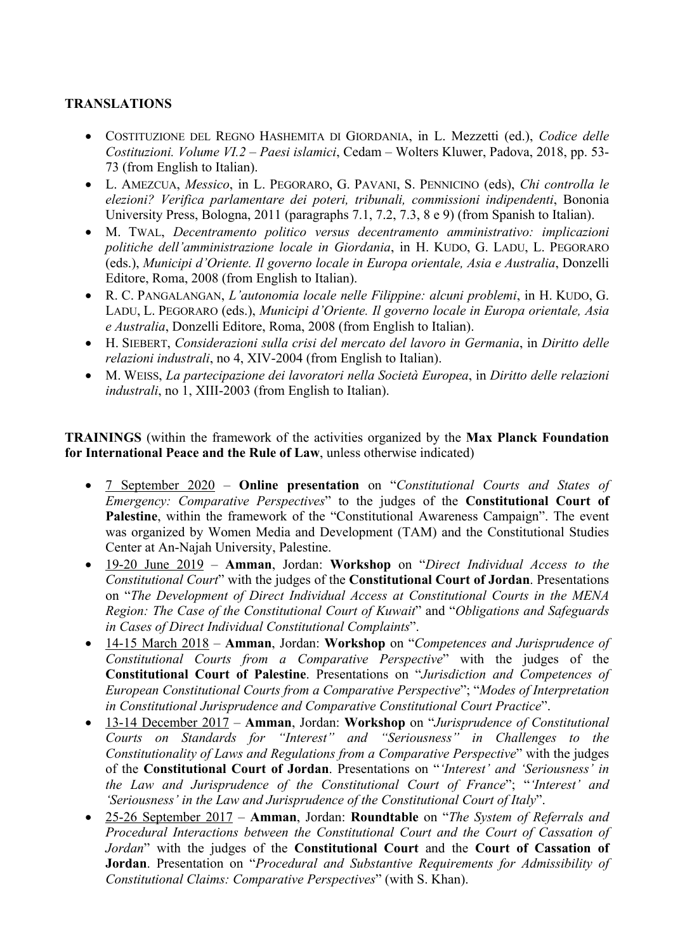#### **TRANSLATIONS**

- COSTITUZIONE DEL REGNO HASHEMITA DI GIORDANIA, in L. Mezzetti (ed.), *Codice delle Costituzioni. Volume VI.2 – Paesi islamici*, Cedam – Wolters Kluwer, Padova, 2018, pp. 53- 73 (from English to Italian).
- L. AMEZCUA, *Messico*, in L. PEGORARO, G. PAVANI, S. PENNICINO (eds), *Chi controlla le elezioni? Verifica parlamentare dei poteri, tribunali, commissioni indipendenti*, Bononia University Press, Bologna, 2011 (paragraphs 7.1, 7.2, 7.3, 8 e 9) (from Spanish to Italian).
- M. TWAL, *Decentramento politico versus decentramento amministrativo: implicazioni politiche dell'amministrazione locale in Giordania*, in H. KUDO, G. LADU, L. PEGORARO (eds.), *Municipi d'Oriente. Il governo locale in Europa orientale, Asia e Australia*, Donzelli Editore, Roma, 2008 (from English to Italian).
- R. C. PANGALANGAN, *L'autonomia locale nelle Filippine: alcuni problemi*, in H. KUDO, G. LADU, L. PEGORARO (eds.), *Municipi d'Oriente. Il governo locale in Europa orientale, Asia e Australia*, Donzelli Editore, Roma, 2008 (from English to Italian).
- H. SIEBERT, *Considerazioni sulla crisi del mercato del lavoro in Germania*, in *Diritto delle relazioni industrali*, no 4, XIV-2004 (from English to Italian).
- M. WEISS, *La partecipazione dei lavoratori nella Società Europea*, in *Diritto delle relazioni industrali*, no 1, XIII-2003 (from English to Italian).

**TRAININGS** (within the framework of the activities organized by the **Max Planck Foundation for International Peace and the Rule of Law**, unless otherwise indicated)

- 7 September 2020 **Online presentation** on "*Constitutional Courts and States of Emergency: Comparative Perspectives*" to the judges of the **Constitutional Court of Palestine**, within the framework of the "Constitutional Awareness Campaign". The event was organized by Women Media and Development (TAM) and the Constitutional Studies Center at An-Najah University, Palestine.
- 19-20 June 2019 **Amman**, Jordan: **Workshop** on "*Direct Individual Access to the Constitutional Court*" with the judges of the **Constitutional Court of Jordan**. Presentations on "*The Development of Direct Individual Access at Constitutional Courts in the MENA Region: The Case of the Constitutional Court of Kuwait*" and "*Obligations and Safeguards in Cases of Direct Individual Constitutional Complaints*".
- 14-15 March 2018 **Amman**, Jordan: **Workshop** on "*Competences and Jurisprudence of Constitutional Courts from a Comparative Perspective*" with the judges of the **Constitutional Court of Palestine**. Presentations on "*Jurisdiction and Competences of European Constitutional Courts from a Comparative Perspective*"; "*Modes of Interpretation in Constitutional Jurisprudence and Comparative Constitutional Court Practice*".
- 13-14 December 2017 **Amman**, Jordan: **Workshop** on "*Jurisprudence of Constitutional Courts on Standards for "Interest" and "Seriousness" in Challenges to the Constitutionality of Laws and Regulations from a Comparative Perspective*" with the judges of the **Constitutional Court of Jordan**. Presentations on "*'Interest' and 'Seriousness' in the Law and Jurisprudence of the Constitutional Court of France*"; "*'Interest' and 'Seriousness' in the Law and Jurisprudence of the Constitutional Court of Italy*".
- 25-26 September 2017 **Amman**, Jordan: **Roundtable** on "*The System of Referrals and Procedural Interactions between the Constitutional Court and the Court of Cassation of Jordan*" with the judges of the **Constitutional Court** and the **Court of Cassation of Jordan**. Presentation on "*Procedural and Substantive Requirements for Admissibility of Constitutional Claims: Comparative Perspectives*" (with S. Khan).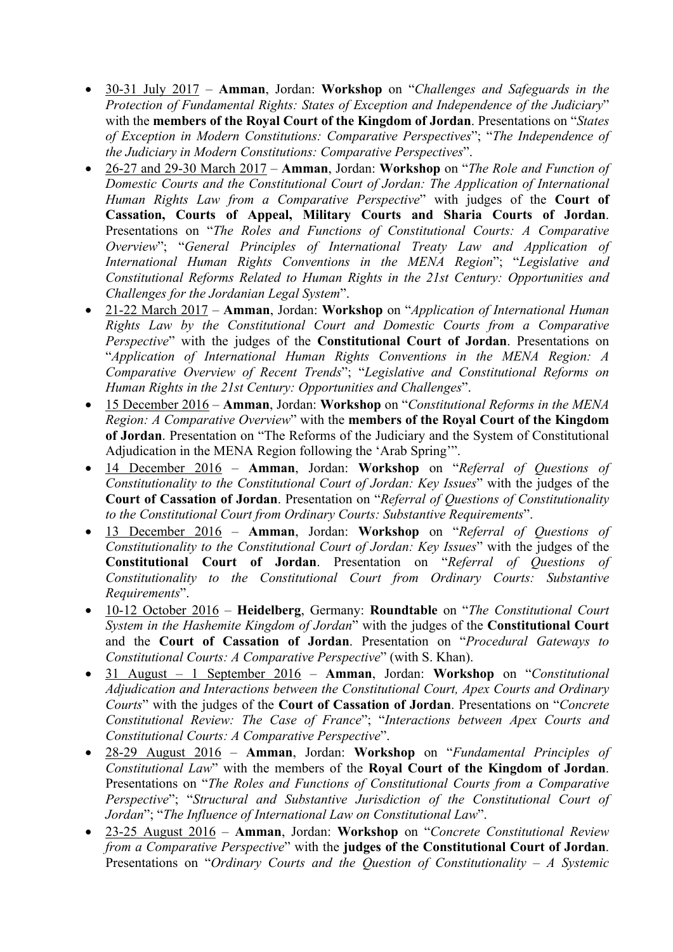- 30-31 July 2017 **Amman**, Jordan: **Workshop** on "*Challenges and Safeguards in the Protection of Fundamental Rights: States of Exception and Independence of the Judiciary*" with the **members of the Royal Court of the Kingdom of Jordan**. Presentations on "*States of Exception in Modern Constitutions: Comparative Perspectives*"; "*The Independence of the Judiciary in Modern Constitutions: Comparative Perspectives*".
- 26-27 and 29-30 March 2017 **Amman**, Jordan: **Workshop** on "*The Role and Function of Domestic Courts and the Constitutional Court of Jordan: The Application of International Human Rights Law from a Comparative Perspective*" with judges of the **Court of Cassation, Courts of Appeal, Military Courts and Sharia Courts of Jordan**. Presentations on "*The Roles and Functions of Constitutional Courts: A Comparative Overview*"; "*General Principles of International Treaty Law and Application of International Human Rights Conventions in the MENA Region*"; "*Legislative and Constitutional Reforms Related to Human Rights in the 21st Century: Opportunities and Challenges for the Jordanian Legal System*".
- 21-22 March 2017 **Amman**, Jordan: **Workshop** on "*Application of International Human Rights Law by the Constitutional Court and Domestic Courts from a Comparative Perspective*" with the judges of the **Constitutional Court of Jordan**. Presentations on "*Application of International Human Rights Conventions in the MENA Region: A Comparative Overview of Recent Trends*"; "*Legislative and Constitutional Reforms on Human Rights in the 21st Century: Opportunities and Challenges*".
- 15 December 2016 **Amman**, Jordan: **Workshop** on "*Constitutional Reforms in the MENA Region: A Comparative Overview*" with the **members of the Royal Court of the Kingdom of Jordan**. Presentation on "The Reforms of the Judiciary and the System of Constitutional Adjudication in the MENA Region following the 'Arab Spring'".
- 14 December 2016 **Amman**, Jordan: **Workshop** on "*Referral of Questions of Constitutionality to the Constitutional Court of Jordan: Key Issues*" with the judges of the **Court of Cassation of Jordan**. Presentation on "*Referral of Questions of Constitutionality to the Constitutional Court from Ordinary Courts: Substantive Requirements*".
- 13 December 2016 **Amman**, Jordan: **Workshop** on "*Referral of Questions of Constitutionality to the Constitutional Court of Jordan: Key Issues*" with the judges of the **Constitutional Court of Jordan**. Presentation on "*Referral of Questions of Constitutionality to the Constitutional Court from Ordinary Courts: Substantive Requirements*".
- 10-12 October 2016 **Heidelberg**, Germany: **Roundtable** on "*The Constitutional Court System in the Hashemite Kingdom of Jordan*" with the judges of the **Constitutional Court**  and the **Court of Cassation of Jordan**. Presentation on "*Procedural Gateways to Constitutional Courts: A Comparative Perspective*" (with S. Khan).
- 31 August 1 September 2016 **Amman**, Jordan: **Workshop** on "*Constitutional Adjudication and Interactions between the Constitutional Court, Apex Courts and Ordinary Courts*" with the judges of the **Court of Cassation of Jordan**. Presentations on "*Concrete Constitutional Review: The Case of France*"; "*Interactions between Apex Courts and Constitutional Courts: A Comparative Perspective*".
- 28-29 August 2016 **Amman**, Jordan: **Workshop** on "*Fundamental Principles of Constitutional Law*" with the members of the **Royal Court of the Kingdom of Jordan**. Presentations on "*The Roles and Functions of Constitutional Courts from a Comparative Perspective*"; "*Structural and Substantive Jurisdiction of the Constitutional Court of Jordan*"; "*The Influence of International Law on Constitutional Law*".
- 23-25 August 2016 **Amman**, Jordan: **Workshop** on "*Concrete Constitutional Review from a Comparative Perspective*" with the **judges of the Constitutional Court of Jordan**. Presentations on "*Ordinary Courts and the Question of Constitutionality – A Systemic*